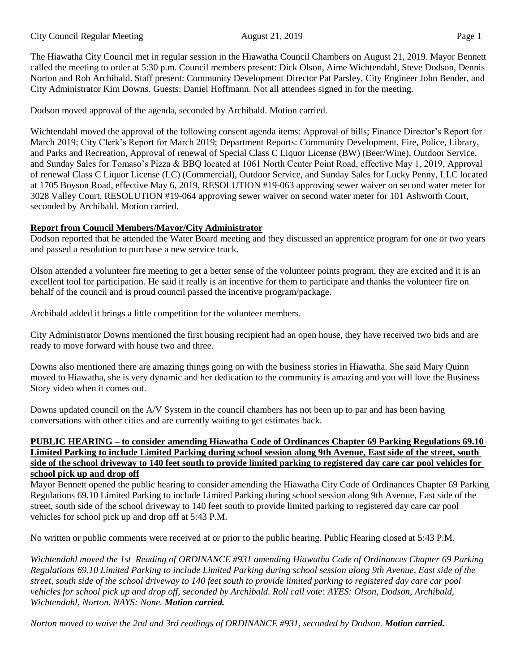The Hiawatha City Council met in regular session in the Hiawatha Council Chambers on August 21, 2019. Mayor Bennett called the meeting to order at 5:30 p.m. Council members present: Dick Olson, Aime Wichtendahl, Steve Dodson, Dennis Norton and Rob Archibald. Staff present: Community Development Director Pat Parsley, City Engineer John Bender, and City Administrator Kim Downs. Guests: Daniel Hoffmann. Not all attendees signed in for the meeting.

Dodson moved approval of the agenda, seconded by Archibald. Motion carried.

Wichtendahl moved the approval of the following consent agenda items: Approval of bills; Finance Director's Report for March 2019; City Clerk's Report for March 2019; Department Reports: Community Development, Fire, Police, Library, and Parks and Recreation, Approval of renewal of Special Class C Liquor License (BW) (Beer/Wine), Outdoor Service, and Sunday Sales for Tomaso's Pizza & BBQ located at 1061 North Center Point Road, effective May 1, 2019, Approval of renewal Class C Liquor License (LC) (Commercial), Outdoor Service, and Sunday Sales for Lucky Penny, LLC located at 1705 Boyson Road, effective May 6, 2019, RESOLUTION #19-063 approving sewer waiver on second water meter for 3028 Valley Court, RESOLUTION #19-064 approving sewer waiver on second water meter for 101 Ashworth Court, seconded by Archibald. Motion carried.

# **Report from Council Members/Mayor/City Administrator**

Dodson reported that he attended the Water Board meeting and they discussed an apprentice program for one or two years and passed a resolution to purchase a new service truck.

Olson attended a volunteer fire meeting to get a better sense of the volunteer points program, they are excited and it is an excellent tool for participation. He said it really is an incentive for them to participate and thanks the volunteer fire on behalf of the council and is proud council passed the incentive program/package.

Archibald added it brings a little competition for the volunteer members.

City Administrator Downs mentioned the first housing recipient had an open house, they have received two bids and are ready to move forward with house two and three.

Downs also mentioned there are amazing things going on with the business stories in Hiawatha. She said Mary Quinn moved to Hiawatha, she is very dynamic and her dedication to the community is amazing and you will love the Business Story video when it comes out.

Downs updated council on the A/V System in the council chambers has not been up to par and has been having conversations with other cities and are currently waiting to get estimates back.

#### **PUBLIC HEARING – to consider amending Hiawatha Code of Ordinances Chapter 69 Parking Regulations 69.10 Limited Parking to include Limited Parking during school session along 9th Avenue, East side of the street, south side of the school driveway to 140 feet south to provide limited parking to registered day care car pool vehicles for school pick up and drop off**

Mayor Bennett opened the public hearing to consider amending the Hiawatha City Code of Ordinances Chapter 69 Parking Regulations 69.10 Limited Parking to include Limited Parking during school session along 9th Avenue, East side of the street, south side of the school driveway to 140 feet south to provide limited parking to registered day care car pool vehicles for school pick up and drop off at 5:43 P.M.

No written or public comments were received at or prior to the public hearing. Public Hearing closed at 5:43 P.M.

*Wichtendahl moved the 1st Reading of ORDINANCE #931 amending Hiawatha Code of Ordinances Chapter 69 Parking Regulations 69.10 Limited Parking to include Limited Parking during school session along 9th Avenue, East side of the street, south side of the school driveway to 140 feet south to provide limited parking to registered day care car pool vehicles for school pick up and drop off, seconded by Archibald. Roll call vote: AYES: Olson, Dodson, Archibald, Wichtendahl, Norton. NAYS: None. Motion carried.* 

*Norton moved to waive the 2nd and 3rd readings of ORDINANCE #931, seconded by Dodson. Motion carried.*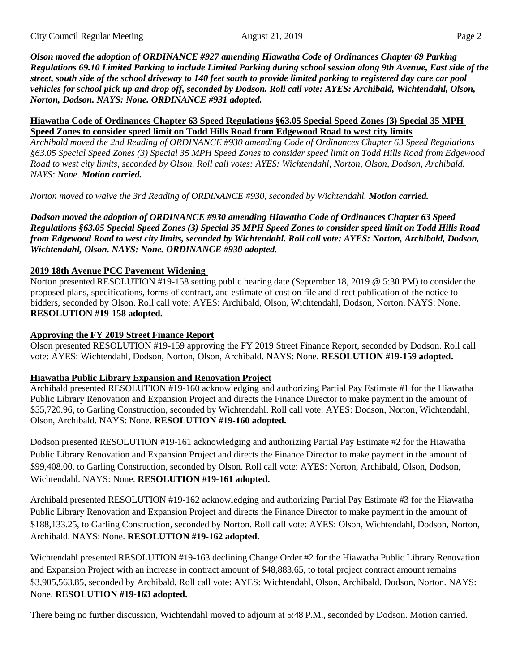*Olson moved the adoption of ORDINANCE #927 amending Hiawatha Code of Ordinances Chapter 69 Parking Regulations 69.10 Limited Parking to include Limited Parking during school session along 9th Avenue, East side of the street, south side of the school driveway to 140 feet south to provide limited parking to registered day care car pool vehicles for school pick up and drop off, seconded by Dodson. Roll call vote: AYES: Archibald, Wichtendahl, Olson, Norton, Dodson. NAYS: None. ORDINANCE #931 adopted.* 

#### **Hiawatha Code of Ordinances Chapter 63 Speed Regulations §63.05 Special Speed Zones (3) Special 35 MPH Speed Zones to consider speed limit on Todd Hills Road from Edgewood Road to west city limits**

*Archibald moved the 2nd Reading of ORDINANCE #930 amending Code of Ordinances Chapter 63 Speed Regulations §63.05 Special Speed Zones (3) Special 35 MPH Speed Zones to consider speed limit on Todd Hills Road from Edgewood Road to west city limits, seconded by Olson. Roll call votes: AYES: Wichtendahl, Norton, Olson, Dodson, Archibald. NAYS: None. Motion carried.* 

*Norton moved to waive the 3rd Reading of ORDINANCE #930, seconded by Wichtendahl. Motion carried.*

*Dodson moved the adoption of ORDINANCE #930 amending Hiawatha Code of Ordinances Chapter 63 Speed Regulations §63.05 Special Speed Zones (3) Special 35 MPH Speed Zones to consider speed limit on Todd Hills Road from Edgewood Road to west city limits, seconded by Wichtendahl. Roll call vote: AYES: Norton, Archibald, Dodson, Wichtendahl, Olson. NAYS: None. ORDINANCE #930 adopted.* 

## **2019 18th Avenue PCC Pavement Widening**

Norton presented RESOLUTION #19-158 setting public hearing date (September 18, 2019 @ 5:30 PM) to consider the proposed plans, specifications, forms of contract, and estimate of cost on file and direct publication of the notice to bidders, seconded by Olson. Roll call vote: AYES: Archibald, Olson, Wichtendahl, Dodson, Norton. NAYS: None. **RESOLUTION #19-158 adopted.** 

### **Approving the FY 2019 Street Finance Report**

Olson presented RESOLUTION #19-159 approving the FY 2019 Street Finance Report, seconded by Dodson. Roll call vote: AYES: Wichtendahl, Dodson, Norton, Olson, Archibald. NAYS: None. **RESOLUTION #19-159 adopted.** 

### **Hiawatha Public Library Expansion and Renovation Project**

Archibald presented RESOLUTION #19-160 acknowledging and authorizing Partial Pay Estimate #1 for the Hiawatha Public Library Renovation and Expansion Project and directs the Finance Director to make payment in the amount of \$55,720.96, to Garling Construction, seconded by Wichtendahl. Roll call vote: AYES: Dodson, Norton, Wichtendahl, Olson, Archibald. NAYS: None. **RESOLUTION #19-160 adopted.** 

Dodson presented RESOLUTION #19-161 acknowledging and authorizing Partial Pay Estimate #2 for the Hiawatha Public Library Renovation and Expansion Project and directs the Finance Director to make payment in the amount of \$99,408.00, to Garling Construction, seconded by Olson. Roll call vote: AYES: Norton, Archibald, Olson, Dodson, Wichtendahl. NAYS: None. **RESOLUTION #19-161 adopted.** 

Archibald presented RESOLUTION #19-162 acknowledging and authorizing Partial Pay Estimate #3 for the Hiawatha Public Library Renovation and Expansion Project and directs the Finance Director to make payment in the amount of \$188,133.25, to Garling Construction, seconded by Norton. Roll call vote: AYES: Olson, Wichtendahl, Dodson, Norton, Archibald. NAYS: None. **RESOLUTION #19-162 adopted.** 

Wichtendahl presented RESOLUTION #19-163 declining Change Order #2 for the Hiawatha Public Library Renovation and Expansion Project with an increase in contract amount of \$48,883.65, to total project contract amount remains \$3,905,563.85, seconded by Archibald. Roll call vote: AYES: Wichtendahl, Olson, Archibald, Dodson, Norton. NAYS: None. **RESOLUTION #19-163 adopted.** 

There being no further discussion, Wichtendahl moved to adjourn at 5:48 P.M., seconded by Dodson. Motion carried.